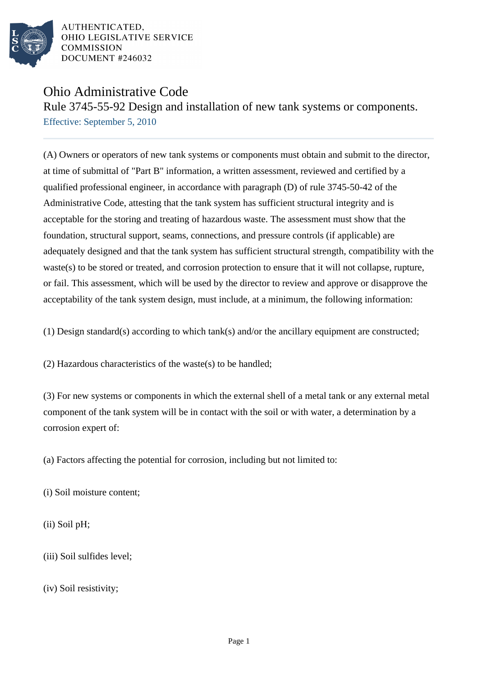

## Ohio Administrative Code

Rule 3745-55-92 Design and installation of new tank systems or components. Effective: September 5, 2010

(A) Owners or operators of new tank systems or components must obtain and submit to the director, at time of submittal of "Part B" information, a written assessment, reviewed and certified by a qualified professional engineer, in accordance with paragraph (D) of rule 3745-50-42 of the Administrative Code, attesting that the tank system has sufficient structural integrity and is acceptable for the storing and treating of hazardous waste. The assessment must show that the foundation, structural support, seams, connections, and pressure controls (if applicable) are adequately designed and that the tank system has sufficient structural strength, compatibility with the waste(s) to be stored or treated, and corrosion protection to ensure that it will not collapse, rupture, or fail. This assessment, which will be used by the director to review and approve or disapprove the acceptability of the tank system design, must include, at a minimum, the following information:

(1) Design standard(s) according to which tank(s) and/or the ancillary equipment are constructed;

(2) Hazardous characteristics of the waste(s) to be handled;

(3) For new systems or components in which the external shell of a metal tank or any external metal component of the tank system will be in contact with the soil or with water, a determination by a corrosion expert of:

(a) Factors affecting the potential for corrosion, including but not limited to:

(i) Soil moisture content;

(ii) Soil pH;

(iii) Soil sulfides level;

(iv) Soil resistivity;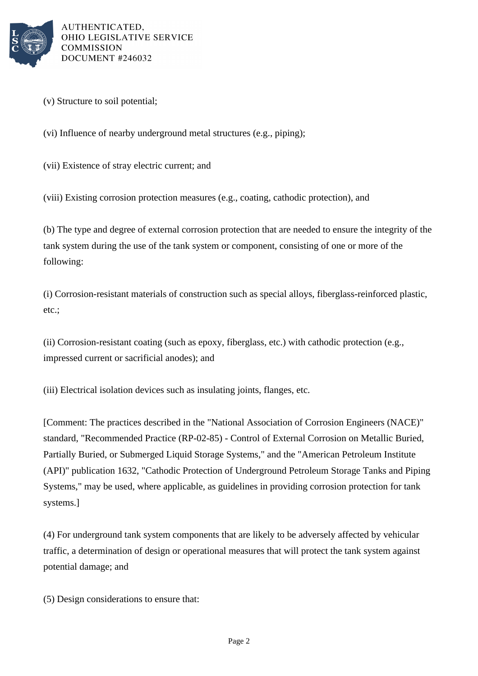

- (v) Structure to soil potential;
- (vi) Influence of nearby underground metal structures (e.g., piping);
- (vii) Existence of stray electric current; and

(viii) Existing corrosion protection measures (e.g., coating, cathodic protection), and

(b) The type and degree of external corrosion protection that are needed to ensure the integrity of the tank system during the use of the tank system or component, consisting of one or more of the following:

(i) Corrosion-resistant materials of construction such as special alloys, fiberglass-reinforced plastic, etc.;

(ii) Corrosion-resistant coating (such as epoxy, fiberglass, etc.) with cathodic protection (e.g., impressed current or sacrificial anodes); and

(iii) Electrical isolation devices such as insulating joints, flanges, etc.

[Comment: The practices described in the "National Association of Corrosion Engineers (NACE)" standard, "Recommended Practice (RP-02-85) - Control of External Corrosion on Metallic Buried, Partially Buried, or Submerged Liquid Storage Systems," and the "American Petroleum Institute (API)" publication 1632, "Cathodic Protection of Underground Petroleum Storage Tanks and Piping Systems," may be used, where applicable, as guidelines in providing corrosion protection for tank systems.]

(4) For underground tank system components that are likely to be adversely affected by vehicular traffic, a determination of design or operational measures that will protect the tank system against potential damage; and

(5) Design considerations to ensure that: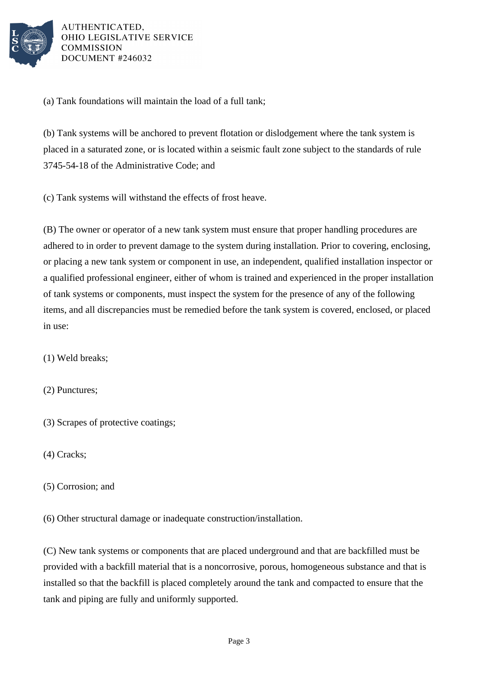

(a) Tank foundations will maintain the load of a full tank;

(b) Tank systems will be anchored to prevent flotation or dislodgement where the tank system is placed in a saturated zone, or is located within a seismic fault zone subject to the standards of rule 3745-54-18 of the Administrative Code; and

(c) Tank systems will withstand the effects of frost heave.

(B) The owner or operator of a new tank system must ensure that proper handling procedures are adhered to in order to prevent damage to the system during installation. Prior to covering, enclosing, or placing a new tank system or component in use, an independent, qualified installation inspector or a qualified professional engineer, either of whom is trained and experienced in the proper installation of tank systems or components, must inspect the system for the presence of any of the following items, and all discrepancies must be remedied before the tank system is covered, enclosed, or placed in use:

(1) Weld breaks;

(2) Punctures;

- (3) Scrapes of protective coatings;
- (4) Cracks;
- (5) Corrosion; and

(6) Other structural damage or inadequate construction/installation.

(C) New tank systems or components that are placed underground and that are backfilled must be provided with a backfill material that is a noncorrosive, porous, homogeneous substance and that is installed so that the backfill is placed completely around the tank and compacted to ensure that the tank and piping are fully and uniformly supported.